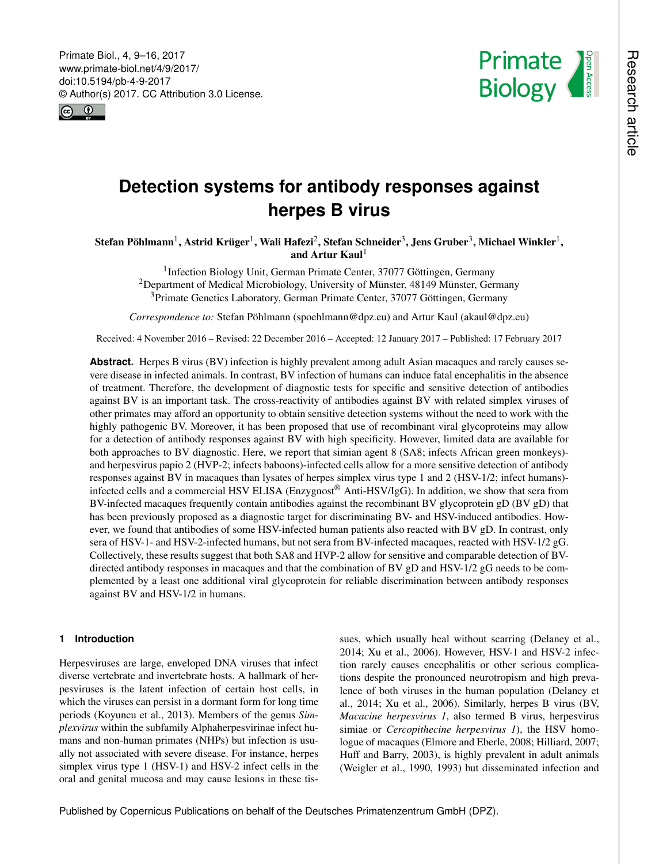<span id="page-0-1"></span>Primate Biol., 4, 9–16, 2017 www.primate-biol.net/4/9/2017/ doi:10.5194/pb-4-9-2017 © Author(s) 2017. CC Attribution 3.0 License.





# **Detection systems for antibody responses against herpes B virus**

 $\bf{Stefan Pöhlmann}^1,\bf{Astrid Kriiger}^1,\bf{Wali Hafezi}^2,\bf{Stefan Schneider}^3,\bf{Jens Gruber}^3,\bf{Michael Winkler}^1,\bf{Astride}^3$  $\bf{Stefan Pöhlmann}^1,\bf{Astrid Kriiger}^1,\bf{Wali Hafezi}^2,\bf{Stefan Schneider}^3,\bf{Jens Gruber}^3,\bf{Michael Winkler}^1,\bf{Astride}^3$  $\bf{Stefan Pöhlmann}^1,\bf{Astrid Kriiger}^1,\bf{Wali Hafezi}^2,\bf{Stefan Schneider}^3,\bf{Jens Gruber}^3,\bf{Michael Winkler}^1,\bf{Astride}^3$  $\bf{Stefan Pöhlmann}^1,\bf{Astrid Kriiger}^1,\bf{Wali Hafezi}^2,\bf{Stefan Schneider}^3,\bf{Jens Gruber}^3,\bf{Michael Winkler}^1,\bf{Astride}^3$  $\bf{Stefan Pöhlmann}^1,\bf{Astrid Kriiger}^1,\bf{Wali Hafezi}^2,\bf{Stefan Schneider}^3,\bf{Jens Gruber}^3,\bf{Michael Winkler}^1,\bf{Astride}^3$  $\bf{Stefan Pöhlmann}^1,\bf{Astrid Kriiger}^1,\bf{Wali Hafezi}^2,\bf{Stefan Schneider}^3,\bf{Jens Gruber}^3,\bf{Michael Winkler}^1,\bf{Astride}^3$  $\bf{Stefan Pöhlmann}^1,\bf{Astrid Kriiger}^1,\bf{Wali Hafezi}^2,\bf{Stefan Schneider}^3,\bf{Jens Gruber}^3,\bf{Michael Winkler}^1,\bf{Astride}^3$ and Artur Kaul<sup>[1](#page-0-0)</sup>

<sup>1</sup>Infection Biology Unit, German Primate Center, 37077 Göttingen, Germany <sup>2</sup>Department of Medical Microbiology, University of Münster, 48149 Münster, Germany <sup>3</sup>Primate Genetics Laboratory, German Primate Center, 37077 Göttingen, Germany

*Correspondence to:* Stefan Pöhlmann (spoehlmann@dpz.eu) and Artur Kaul (akaul@dpz.eu)

Received: 4 November 2016 – Revised: 22 December 2016 – Accepted: 12 January 2017 – Published: 17 February 2017

**Abstract.** Herpes B virus (BV) infection is highly prevalent among adult Asian macaques and rarely causes severe disease in infected animals. In contrast, BV infection of humans can induce fatal encephalitis in the absence of treatment. Therefore, the development of diagnostic tests for specific and sensitive detection of antibodies against BV is an important task. The cross-reactivity of antibodies against BV with related simplex viruses of other primates may afford an opportunity to obtain sensitive detection systems without the need to work with the highly pathogenic BV. Moreover, it has been proposed that use of recombinant viral glycoproteins may allow for a detection of antibody responses against BV with high specificity. However, limited data are available for both approaches to BV diagnostic. Here, we report that simian agent 8 (SA8; infects African green monkeys) and herpesvirus papio 2 (HVP-2; infects baboons)-infected cells allow for a more sensitive detection of antibody responses against BV in macaques than lysates of herpes simplex virus type 1 and 2 (HSV-1/2; infect humans) infected cells and a commercial HSV ELISA (Enzygnost® Anti-HSV/IgG). In addition, we show that sera from BV-infected macaques frequently contain antibodies against the recombinant BV glycoprotein gD (BV gD) that has been previously proposed as a diagnostic target for discriminating BV- and HSV-induced antibodies. However, we found that antibodies of some HSV-infected human patients also reacted with BV gD. In contrast, only sera of HSV-1- and HSV-2-infected humans, but not sera from BV-infected macaques, reacted with HSV-1/2 gG. Collectively, these results suggest that both SA8 and HVP-2 allow for sensitive and comparable detection of BVdirected antibody responses in macaques and that the combination of BV gD and HSV-1/2 gG needs to be complemented by a least one additional viral glycoprotein for reliable discrimination between antibody responses against BV and HSV-1/2 in humans.

# <span id="page-0-0"></span>**1 Introduction**

Herpesviruses are large, enveloped DNA viruses that infect diverse vertebrate and invertebrate hosts. A hallmark of herpesviruses is the latent infection of certain host cells, in which the viruses can persist in a dormant form for long time periods (Koyuncu et al., 2013). Members of the genus *Simplexvirus* within the subfamily Alphaherpesvirinae infect humans and non-human primates (NHPs) but infection is usually not associated with severe disease. For instance, herpes simplex virus type 1 (HSV-1) and HSV-2 infect cells in the oral and genital mucosa and may cause lesions in these tis-

sues, which usually heal without scarring (Delaney et al., 2014; Xu et al., 2006). However, HSV-1 and HSV-2 infection rarely causes encephalitis or other serious complications despite the pronounced neurotropism and high prevalence of both viruses in the human population (Delaney et al., 2014; Xu et al., 2006). Similarly, herpes B virus (BV, *Macacine herpesvirus 1*, also termed B virus, herpesvirus simiae or *Cercopithecine herpesvirus 1*), the HSV homologue of macaques (Elmore and Eberle, 2008; Hilliard, 2007; Huff and Barry, 2003), is highly prevalent in adult animals (Weigler et al., 1990, 1993) but disseminated infection and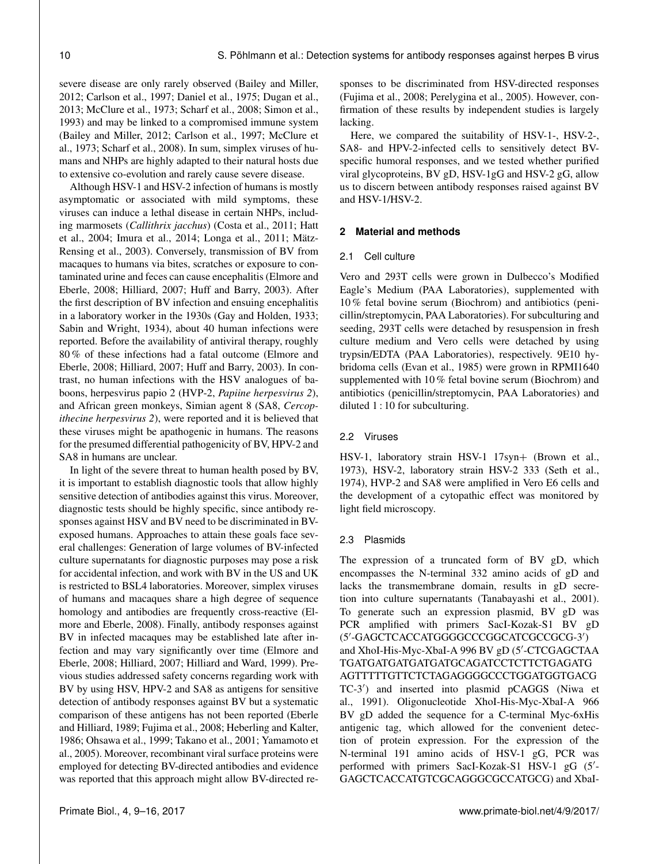severe disease are only rarely observed (Bailey and Miller, 2012; Carlson et al., 1997; Daniel et al., 1975; Dugan et al., 2013; McClure et al., 1973; Scharf et al., 2008; Simon et al., 1993) and may be linked to a compromised immune system (Bailey and Miller, 2012; Carlson et al., 1997; McClure et al., 1973; Scharf et al., 2008). In sum, simplex viruses of humans and NHPs are highly adapted to their natural hosts due to extensive co-evolution and rarely cause severe disease.

Although HSV-1 and HSV-2 infection of humans is mostly asymptomatic or associated with mild symptoms, these viruses can induce a lethal disease in certain NHPs, including marmosets (*Callithrix jacchus*) (Costa et al., 2011; Hatt et al., 2004; Imura et al., 2014; Longa et al., 2011; Mätz-Rensing et al., 2003). Conversely, transmission of BV from macaques to humans via bites, scratches or exposure to contaminated urine and feces can cause encephalitis (Elmore and Eberle, 2008; Hilliard, 2007; Huff and Barry, 2003). After the first description of BV infection and ensuing encephalitis in a laboratory worker in the 1930s (Gay and Holden, 1933; Sabin and Wright, 1934), about 40 human infections were reported. Before the availability of antiviral therapy, roughly 80 % of these infections had a fatal outcome (Elmore and Eberle, 2008; Hilliard, 2007; Huff and Barry, 2003). In contrast, no human infections with the HSV analogues of baboons, herpesvirus papio 2 (HVP-2, *Papiine herpesvirus 2*), and African green monkeys, Simian agent 8 (SA8, *Cercopithecine herpesvirus 2*), were reported and it is believed that these viruses might be apathogenic in humans. The reasons for the presumed differential pathogenicity of BV, HPV-2 and SA8 in humans are unclear.

In light of the severe threat to human health posed by BV, it is important to establish diagnostic tools that allow highly sensitive detection of antibodies against this virus. Moreover, diagnostic tests should be highly specific, since antibody responses against HSV and BV need to be discriminated in BVexposed humans. Approaches to attain these goals face several challenges: Generation of large volumes of BV-infected culture supernatants for diagnostic purposes may pose a risk for accidental infection, and work with BV in the US and UK is restricted to BSL4 laboratories. Moreover, simplex viruses of humans and macaques share a high degree of sequence homology and antibodies are frequently cross-reactive (Elmore and Eberle, 2008). Finally, antibody responses against BV in infected macaques may be established late after infection and may vary significantly over time (Elmore and Eberle, 2008; Hilliard, 2007; Hilliard and Ward, 1999). Previous studies addressed safety concerns regarding work with BV by using HSV, HPV-2 and SA8 as antigens for sensitive detection of antibody responses against BV but a systematic comparison of these antigens has not been reported (Eberle and Hilliard, 1989; Fujima et al., 2008; Heberling and Kalter, 1986; Ohsawa et al., 1999; Takano et al., 2001; Yamamoto et al., 2005). Moreover, recombinant viral surface proteins were employed for detecting BV-directed antibodies and evidence was reported that this approach might allow BV-directed responses to be discriminated from HSV-directed responses (Fujima et al., 2008; Perelygina et al., 2005). However, confirmation of these results by independent studies is largely lacking.

Here, we compared the suitability of HSV-1-, HSV-2-, SA8- and HPV-2-infected cells to sensitively detect BVspecific humoral responses, and we tested whether purified viral glycoproteins, BV gD, HSV-1gG and HSV-2 gG, allow us to discern between antibody responses raised against BV and HSV-1/HSV-2.

## **2 Material and methods**

#### 2.1 Cell culture

Vero and 293T cells were grown in Dulbecco's Modified Eagle's Medium (PAA Laboratories), supplemented with 10 % fetal bovine serum (Biochrom) and antibiotics (penicillin/streptomycin, PAA Laboratories). For subculturing and seeding, 293T cells were detached by resuspension in fresh culture medium and Vero cells were detached by using trypsin/EDTA (PAA Laboratories), respectively. 9E10 hybridoma cells (Evan et al., 1985) were grown in RPMI1640 supplemented with 10 % fetal bovine serum (Biochrom) and antibiotics (penicillin/streptomycin, PAA Laboratories) and diluted 1 : 10 for subculturing.

#### 2.2 Viruses

HSV-1, laboratory strain HSV-1 17syn+ (Brown et al., 1973), HSV-2, laboratory strain HSV-2 333 (Seth et al., 1974), HVP-2 and SA8 were amplified in Vero E6 cells and the development of a cytopathic effect was monitored by light field microscopy.

#### 2.3 Plasmids

The expression of a truncated form of BV gD, which encompasses the N-terminal 332 amino acids of gD and lacks the transmembrane domain, results in gD secretion into culture supernatants (Tanabayashi et al., 2001). To generate such an expression plasmid, BV gD was PCR amplified with primers SacI-Kozak-S1 BV gD (5'-GAGCTCACCATGGGGCCCGGCATCGCCGCG-3') and XhoI-His-Myc-XbaI-A 996 BV gD (5'-CTCGAGCTAA TGATGATGATGATGATGCAGATCCTCTTCTGAGATG AGTTTTTGTTCTCTAGAGGGGCCCTGGATGGTGACG TC-3') and inserted into plasmid pCAGGS (Niwa et al., 1991). Oligonucleotide XhoI-His-Myc-XbaI-A 966 BV gD added the sequence for a C-terminal Myc-6xHis antigenic tag, which allowed for the convenient detection of protein expression. For the expression of the N-terminal 191 amino acids of HSV-1 gG, PCR was performed with primers SacI-Kozak-S1 HSV-1 gG (5'-GAGCTCACCATGTCGCAGGGCGCCATGCG) and XbaI-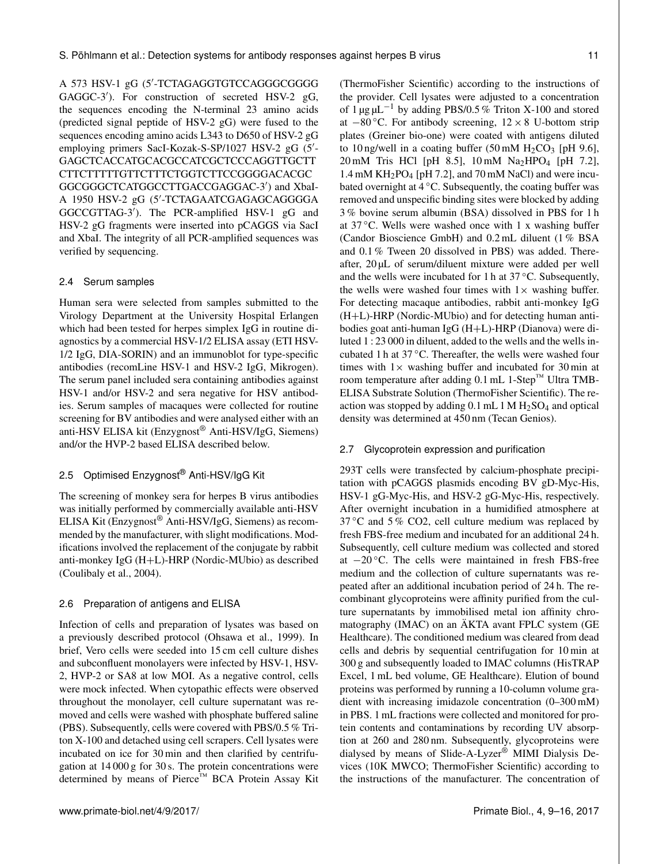A 573 HSV-1 gG (5'-TCTAGAGGTGTCCAGGGCGGGG GAGGC-3'). For construction of secreted HSV-2 gG, the sequences encoding the N-terminal 23 amino acids (predicted signal peptide of HSV-2 gG) were fused to the sequences encoding amino acids L343 to D650 of HSV-2 gG employing primers SacI-Kozak-S-SP/1027 HSV-2 gG (5'-GAGCTCACCATGCACGCCATCGCTCCCAGGTTGCTT CTTCTTTTTGTTCTTTCTGGTCTTCCGGGGACACGC GGCGGGCTCATGGCCTTGACCGAGGAC-3') and XbaI-A 1950 HSV-2 gG (5'-TCTAGAATCGAGAGCAGGGGA GGCCGTTAG-3<sup>'</sup>). The PCR-amplified HSV-1 gG and HSV-2 gG fragments were inserted into pCAGGS via SacI and XbaI. The integrity of all PCR-amplified sequences was verified by sequencing.

#### 2.4 Serum samples

Human sera were selected from samples submitted to the Virology Department at the University Hospital Erlangen which had been tested for herpes simplex IgG in routine diagnostics by a commercial HSV-1/2 ELISA assay (ETI HSV-1/2 IgG, DIA-SORIN) and an immunoblot for type-specific antibodies (recomLine HSV-1 and HSV-2 IgG, Mikrogen). The serum panel included sera containing antibodies against HSV-1 and/or HSV-2 and sera negative for HSV antibodies. Serum samples of macaques were collected for routine screening for BV antibodies and were analysed either with an anti-HSV ELISA kit (Enzygnost® Anti-HSV/IgG, Siemens) and/or the HVP-2 based ELISA described below.

# 2.5 Optimised Enzygnost® Anti-HSV/IgG Kit

The screening of monkey sera for herpes B virus antibodies was initially performed by commercially available anti-HSV ELISA Kit (Enzygnost® Anti-HSV/IgG, Siemens) as recommended by the manufacturer, with slight modifications. Modifications involved the replacement of the conjugate by rabbit anti-monkey IgG (H+L)-HRP (Nordic-MUbio) as described (Coulibaly et al., 2004).

# 2.6 Preparation of antigens and ELISA

Infection of cells and preparation of lysates was based on a previously described protocol (Ohsawa et al., 1999). In brief, Vero cells were seeded into 15 cm cell culture dishes and subconfluent monolayers were infected by HSV-1, HSV-2, HVP-2 or SA8 at low MOI. As a negative control, cells were mock infected. When cytopathic effects were observed throughout the monolayer, cell culture supernatant was removed and cells were washed with phosphate buffered saline (PBS). Subsequently, cells were covered with PBS/0.5 % Triton X-100 and detached using cell scrapers. Cell lysates were incubated on ice for 30 min and then clarified by centrifugation at 14 000 g for 30 s. The protein concentrations were determined by means of Pierce™ BCA Protein Assay Kit

(ThermoFisher Scientific) according to the instructions of the provider. Cell lysates were adjusted to a concentration of 1 µg  $\mu$ L<sup>-1</sup> by adding PBS/0.5 % Triton X-100 and stored at  $-80$  °C. For antibody screening,  $12 \times 8$  U-bottom strip plates (Greiner bio-one) were coated with antigens diluted to 10 ng/well in a coating buffer  $(50 \text{ mM } H_2CO_3$  [pH 9.6],  $20 \text{ mM}$  Tris HCl [pH 8.5],  $10 \text{ mM}$  Na<sub>2</sub>HPO<sub>4</sub> [pH 7.2], 1.4 mM  $KH_2PO_4$  [pH 7.2], and 70 mM NaCl) and were incubated overnight at  $4^{\circ}$ C. Subsequently, the coating buffer was removed and unspecific binding sites were blocked by adding 3 % bovine serum albumin (BSA) dissolved in PBS for 1 h at  $37^{\circ}$ C. Wells were washed once with 1 x washing buffer (Candor Bioscience GmbH) and 0.2 mL diluent (1 % BSA and 0.1 % Tween 20 dissolved in PBS) was added. Thereafter, 20 µL of serum/diluent mixture were added per well and the wells were incubated for 1 h at  $37^{\circ}$ C. Subsequently, the wells were washed four times with  $1\times$  washing buffer. For detecting macaque antibodies, rabbit anti-monkey IgG (H+L)-HRP (Nordic-MUbio) and for detecting human antibodies goat anti-human IgG (H+L)-HRP (Dianova) were diluted 1 : 23 000 in diluent, added to the wells and the wells incubated 1 h at 37 ◦C. Thereafter, the wells were washed four times with  $1 \times$  washing buffer and incubated for 30 min at room temperature after adding  $0.1$  mL 1-Step<sup>™</sup> Ultra TMB-ELISA Substrate Solution (ThermoFisher Scientific). The reaction was stopped by adding  $0.1$  mL  $1 M H<sub>2</sub> SO<sub>4</sub>$  and optical density was determined at 450 nm (Tecan Genios).

#### 2.7 Glycoprotein expression and purification

293T cells were transfected by calcium-phosphate precipitation with pCAGGS plasmids encoding BV gD-Myc-His, HSV-1 gG-Myc-His, and HSV-2 gG-Myc-His, respectively. After overnight incubation in a humidified atmosphere at  $37^{\circ}$ C and  $5\%$  CO2, cell culture medium was replaced by fresh FBS-free medium and incubated for an additional 24 h. Subsequently, cell culture medium was collected and stored at  $-20$  °C. The cells were maintained in fresh FBS-free medium and the collection of culture supernatants was repeated after an additional incubation period of 24 h. The recombinant glycoproteins were affinity purified from the culture supernatants by immobilised metal ion affinity chromatography (IMAC) on an ÄKTA avant FPLC system (GE Healthcare). The conditioned medium was cleared from dead cells and debris by sequential centrifugation for 10 min at 300 g and subsequently loaded to IMAC columns (HisTRAP Excel, 1 mL bed volume, GE Healthcare). Elution of bound proteins was performed by running a 10-column volume gradient with increasing imidazole concentration (0–300 mM) in PBS. 1 mL fractions were collected and monitored for protein contents and contaminations by recording UV absorption at 260 and 280 nm. Subsequently, glycoproteins were dialysed by means of Slide-A-Lyzer® MIMI Dialysis Devices (10K MWCO; ThermoFisher Scientific) according to the instructions of the manufacturer. The concentration of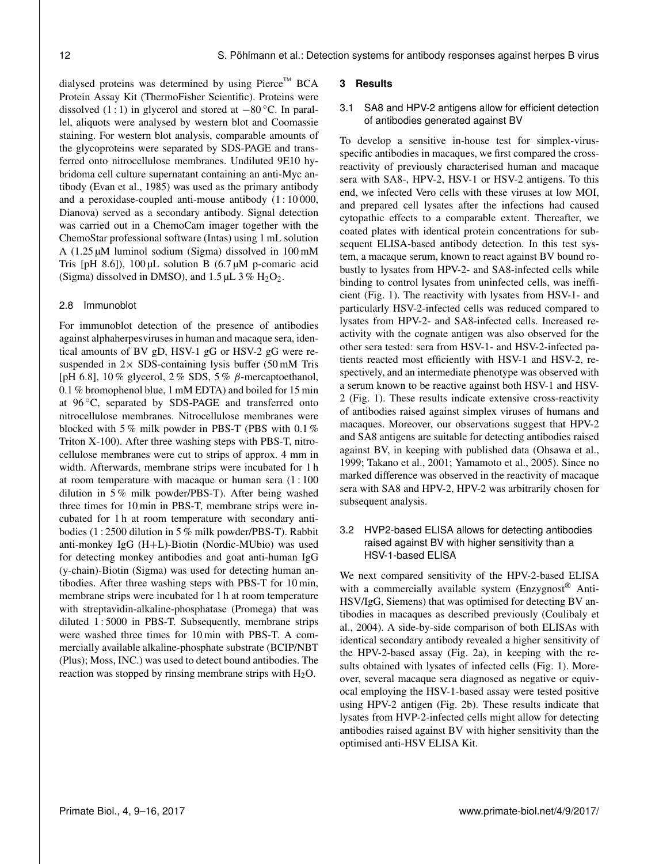dialysed proteins was determined by using Pierce™ BCA Protein Assay Kit (ThermoFisher Scientific). Proteins were dissolved (1 : 1) in glycerol and stored at  $-80$  °C. In parallel, aliquots were analysed by western blot and Coomassie staining. For western blot analysis, comparable amounts of the glycoproteins were separated by SDS-PAGE and transferred onto nitrocellulose membranes. Undiluted 9E10 hybridoma cell culture supernatant containing an anti-Myc antibody (Evan et al., 1985) was used as the primary antibody and a peroxidase-coupled anti-mouse antibody (1 : 10 000, Dianova) served as a secondary antibody. Signal detection was carried out in a ChemoCam imager together with the ChemoStar professional software (Intas) using 1 mL solution A (1.25 µM luminol sodium (Sigma) dissolved in 100 mM Tris [pH 8.6]),  $100 \mu L$  solution B (6.7  $\mu$ M p-comaric acid (Sigma) dissolved in DMSO), and  $1.5 \mu L$  3%  $H_2O_2$ .

#### 2.8 Immunoblot

For immunoblot detection of the presence of antibodies against alphaherpesviruses in human and macaque sera, identical amounts of BV gD, HSV-1 gG or HSV-2 gG were resuspended in  $2 \times$  SDS-containing lysis buffer (50 mM Tris [pH 6.8], 10 % glycerol, 2 % SDS, 5 %  $\beta$ -mercaptoethanol, 0.1 % bromophenol blue, 1 mM EDTA) and boiled for 15 min at 96 ◦C, separated by SDS-PAGE and transferred onto nitrocellulose membranes. Nitrocellulose membranes were blocked with 5 % milk powder in PBS-T (PBS with 0.1 % Triton X-100). After three washing steps with PBS-T, nitrocellulose membranes were cut to strips of approx. 4 mm in width. Afterwards, membrane strips were incubated for 1 h at room temperature with macaque or human sera (1 : 100 dilution in 5 % milk powder/PBS-T). After being washed three times for 10 min in PBS-T, membrane strips were incubated for 1 h at room temperature with secondary antibodies (1 : 2500 dilution in 5 % milk powder/PBS-T). Rabbit anti-monkey IgG (H+L)-Biotin (Nordic-MUbio) was used for detecting monkey antibodies and goat anti-human IgG (y-chain)-Biotin (Sigma) was used for detecting human antibodies. After three washing steps with PBS-T for 10 min, membrane strips were incubated for 1 h at room temperature with streptavidin-alkaline-phosphatase (Promega) that was diluted 1 : 5000 in PBS-T. Subsequently, membrane strips were washed three times for 10 min with PBS-T. A commercially available alkaline-phosphate substrate (BCIP/NBT (Plus); Moss, INC.) was used to detect bound antibodies. The reaction was stopped by rinsing membrane strips with  $H_2O$ .

#### **3 Results**

# 3.1 SA8 and HPV-2 antigens allow for efficient detection of antibodies generated against BV

To develop a sensitive in-house test for simplex-virusspecific antibodies in macaques, we first compared the crossreactivity of previously characterised human and macaque sera with SA8-, HPV-2, HSV-1 or HSV-2 antigens. To this end, we infected Vero cells with these viruses at low MOI, and prepared cell lysates after the infections had caused cytopathic effects to a comparable extent. Thereafter, we coated plates with identical protein concentrations for subsequent ELISA-based antibody detection. In this test system, a macaque serum, known to react against BV bound robustly to lysates from HPV-2- and SA8-infected cells while binding to control lysates from uninfected cells, was inefficient (Fig. 1). The reactivity with lysates from HSV-1- and particularly HSV-2-infected cells was reduced compared to lysates from HPV-2- and SA8-infected cells. Increased reactivity with the cognate antigen was also observed for the other sera tested: sera from HSV-1- and HSV-2-infected patients reacted most efficiently with HSV-1 and HSV-2, respectively, and an intermediate phenotype was observed with a serum known to be reactive against both HSV-1 and HSV-2 (Fig. 1). These results indicate extensive cross-reactivity of antibodies raised against simplex viruses of humans and macaques. Moreover, our observations suggest that HPV-2 and SA8 antigens are suitable for detecting antibodies raised against BV, in keeping with published data (Ohsawa et al., 1999; Takano et al., 2001; Yamamoto et al., 2005). Since no marked difference was observed in the reactivity of macaque sera with SA8 and HPV-2, HPV-2 was arbitrarily chosen for subsequent analysis.

# 3.2 HVP2-based ELISA allows for detecting antibodies raised against BV with higher sensitivity than a HSV-1-based ELISA

We next compared sensitivity of the HPV-2-based ELISA with a commercially available system (Enzygnost® Anti-HSV/IgG, Siemens) that was optimised for detecting BV antibodies in macaques as described previously (Coulibaly et al., 2004). A side-by-side comparison of both ELISAs with identical secondary antibody revealed a higher sensitivity of the HPV-2-based assay (Fig. 2a), in keeping with the results obtained with lysates of infected cells (Fig. 1). Moreover, several macaque sera diagnosed as negative or equivocal employing the HSV-1-based assay were tested positive using HPV-2 antigen (Fig. 2b). These results indicate that lysates from HVP-2-infected cells might allow for detecting antibodies raised against BV with higher sensitivity than the optimised anti-HSV ELISA Kit.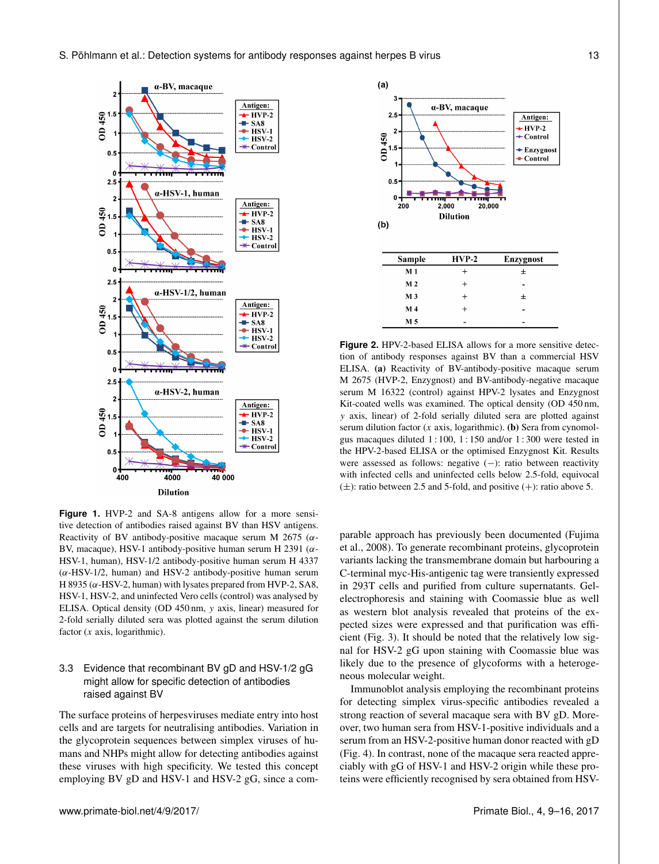

**Figure 1.** HVP-2 and SA-8 antigens allow for a more sensitive detection of antibodies raised against BV than HSV antigens. Reactivity of BV antibody-positive macaque serum M 2675 ( $\alpha$ -BV, macaque), HSV-1 antibody-positive human serum H 2391 ( $\alpha$ -HSV-1, human), HSV-1/2 antibody-positive human serum H 4337  $(\alpha$ -HSV-1/2, human) and HSV-2 antibody-positive human serum H 8935 ( $\alpha$ -HSV-2, human) with lysates prepared from HVP-2, SA8, HSV-1, HSV-2, and uninfected Vero cells (control) was analysed by ELISA. Optical density (OD 450 nm, y axis, linear) measured for 2-fold serially diluted sera was plotted against the serum dilution factor  $(x \text{ axis}, \text{logarithmic})$ .

# 3.3 Evidence that recombinant BV gD and HSV-1/2 gG might allow for specific detection of antibodies raised against BV

The surface proteins of herpesviruses mediate entry into host cells and are targets for neutralising antibodies. Variation in the glycoprotein sequences between simplex viruses of humans and NHPs might allow for detecting antibodies against these viruses with high specificity. We tested this concept employing BV gD and HSV-1 and HSV-2 gG, since a com-



**Figure 2.** HPV-2-based ELISA allows for a more sensitive detection of antibody responses against BV than a commercial HSV ELISA. (a) Reactivity of BV-antibody-positive macaque serum M 2675 (HVP-2, Enzygnost) and BV-antibody-negative macaque serum M 16322 (control) against HPV-2 lysates and Enzygnost Kit-coated wells was examined. The optical density (OD 450 nm, y axis, linear) of 2-fold serially diluted sera are plotted against serum dilution factor  $(x \text{ axis}, \text{ logarithmic})$ . (b) Sera from cynomolgus macaques diluted 1 : 100, 1 : 150 and/or 1 : 300 were tested in the HPV-2-based ELISA or the optimised Enzygnost Kit. Results were assessed as follows: negative (−): ratio between reactivity with infected cells and uninfected cells below 2.5-fold, equivocal  $(\pm)$ : ratio between 2.5 and 5-fold, and positive  $(+)$ : ratio above 5.

parable approach has previously been documented (Fujima et al., 2008). To generate recombinant proteins, glycoprotein variants lacking the transmembrane domain but harbouring a C-terminal myc-His-antigenic tag were transiently expressed in 293T cells and purified from culture supernatants. Gelelectrophoresis and staining with Coomassie blue as well as western blot analysis revealed that proteins of the expected sizes were expressed and that purification was efficient (Fig. 3). It should be noted that the relatively low signal for HSV-2 gG upon staining with Coomassie blue was likely due to the presence of glycoforms with a heterogeneous molecular weight.

Immunoblot analysis employing the recombinant proteins for detecting simplex virus-specific antibodies revealed a strong reaction of several macaque sera with BV gD. Moreover, two human sera from HSV-1-positive individuals and a serum from an HSV-2-positive human donor reacted with gD (Fig. 4). In contrast, none of the macaque sera reacted appreciably with gG of HSV-1 and HSV-2 origin while these proteins were efficiently recognised by sera obtained from HSV-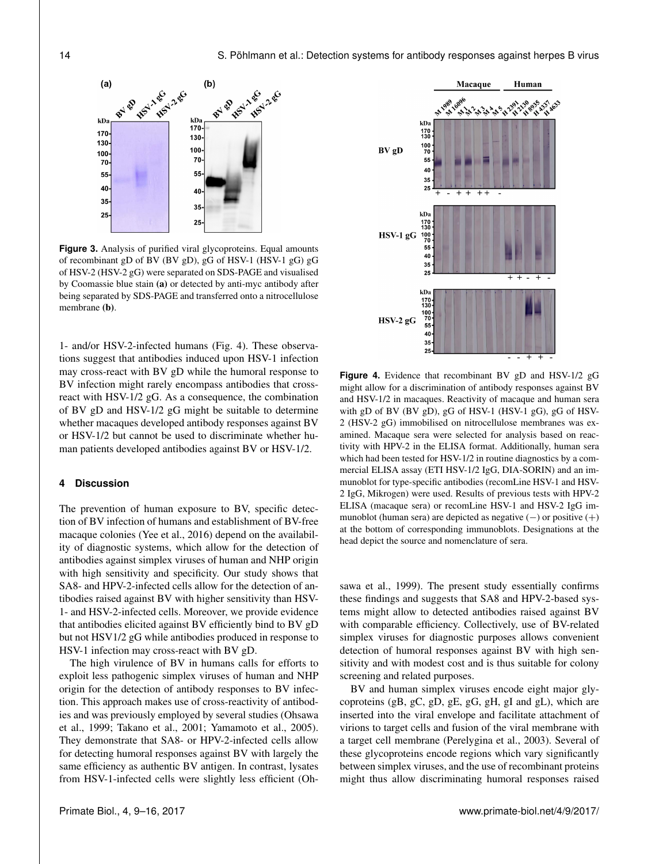

**Figure 3.** Analysis of purified viral glycoproteins. Equal amounts of recombinant gD of BV (BV gD), gG of HSV-1 (HSV-1 gG) gG of HSV-2 (HSV-2 gG) were separated on SDS-PAGE and visualised by Coomassie blue stain (a) or detected by anti-myc antibody after being separated by SDS-PAGE and transferred onto a nitrocellulose membrane (b).

1- and/or HSV-2-infected humans (Fig. 4). These observations suggest that antibodies induced upon HSV-1 infection may cross-react with BV gD while the humoral response to BV infection might rarely encompass antibodies that crossreact with HSV-1/2 gG. As a consequence, the combination of BV gD and HSV-1/2 gG might be suitable to determine whether macaques developed antibody responses against BV or HSV-1/2 but cannot be used to discriminate whether human patients developed antibodies against BV or HSV-1/2.

# **4 Discussion**

The prevention of human exposure to BV, specific detection of BV infection of humans and establishment of BV-free macaque colonies (Yee et al., 2016) depend on the availability of diagnostic systems, which allow for the detection of antibodies against simplex viruses of human and NHP origin with high sensitivity and specificity. Our study shows that SA8- and HPV-2-infected cells allow for the detection of antibodies raised against BV with higher sensitivity than HSV-1- and HSV-2-infected cells. Moreover, we provide evidence that antibodies elicited against BV efficiently bind to BV gD but not HSV1/2 gG while antibodies produced in response to HSV-1 infection may cross-react with BV gD.

The high virulence of BV in humans calls for efforts to exploit less pathogenic simplex viruses of human and NHP origin for the detection of antibody responses to BV infection. This approach makes use of cross-reactivity of antibodies and was previously employed by several studies (Ohsawa et al., 1999; Takano et al., 2001; Yamamoto et al., 2005). They demonstrate that SA8- or HPV-2-infected cells allow for detecting humoral responses against BV with largely the same efficiency as authentic BV antigen. In contrast, lysates from HSV-1-infected cells were slightly less efficient (Oh-



**Figure 4.** Evidence that recombinant BV gD and HSV-1/2 gG might allow for a discrimination of antibody responses against BV and HSV-1/2 in macaques. Reactivity of macaque and human sera with gD of BV (BV gD), gG of HSV-1 (HSV-1 gG), gG of HSV-2 (HSV-2 gG) immobilised on nitrocellulose membranes was examined. Macaque sera were selected for analysis based on reactivity with HPV-2 in the ELISA format. Additionally, human sera which had been tested for HSV-1/2 in routine diagnostics by a commercial ELISA assay (ETI HSV-1/2 IgG, DIA-SORIN) and an immunoblot for type-specific antibodies (recomLine HSV-1 and HSV-2 IgG, Mikrogen) were used. Results of previous tests with HPV-2 ELISA (macaque sera) or recomLine HSV-1 and HSV-2 IgG immunoblot (human sera) are depicted as negative (−) or positive (+) at the bottom of corresponding immunoblots. Designations at the head depict the source and nomenclature of sera.

sawa et al., 1999). The present study essentially confirms these findings and suggests that SA8 and HPV-2-based systems might allow to detected antibodies raised against BV with comparable efficiency. Collectively, use of BV-related simplex viruses for diagnostic purposes allows convenient detection of humoral responses against BV with high sensitivity and with modest cost and is thus suitable for colony screening and related purposes.

BV and human simplex viruses encode eight major glycoproteins (gB, gC, gD, gE, gG, gH, gI and gL), which are inserted into the viral envelope and facilitate attachment of virions to target cells and fusion of the viral membrane with a target cell membrane (Perelygina et al., 2003). Several of these glycoproteins encode regions which vary significantly between simplex viruses, and the use of recombinant proteins might thus allow discriminating humoral responses raised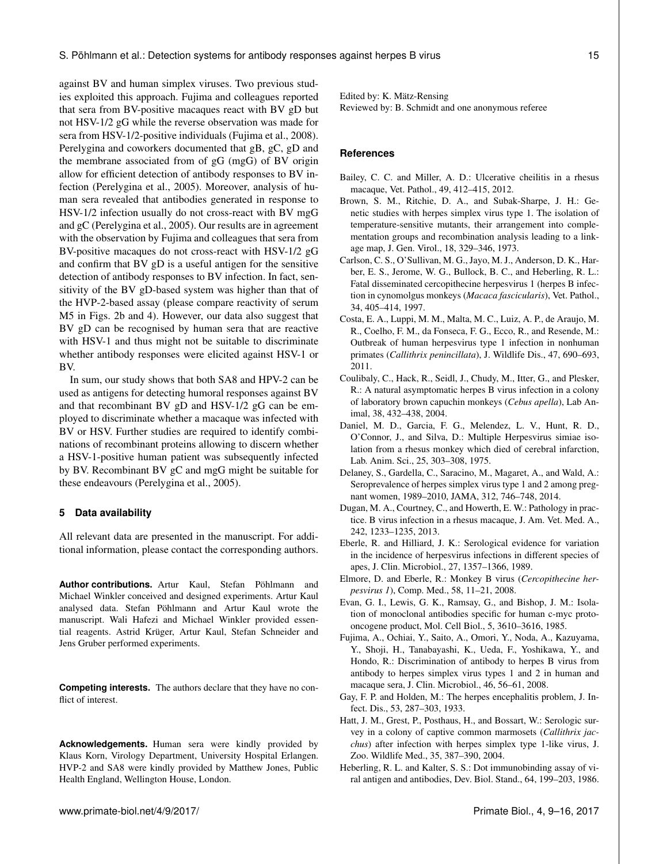against BV and human simplex viruses. Two previous studies exploited this approach. Fujima and colleagues reported that sera from BV-positive macaques react with BV gD but not HSV-1/2 gG while the reverse observation was made for sera from HSV-1/2-positive individuals (Fujima et al., 2008). Perelygina and coworkers documented that gB, gC, gD and the membrane associated from of gG (mgG) of BV origin allow for efficient detection of antibody responses to BV infection (Perelygina et al., 2005). Moreover, analysis of human sera revealed that antibodies generated in response to HSV-1/2 infection usually do not cross-react with BV mgG and gC (Perelygina et al., 2005). Our results are in agreement with the observation by Fujima and colleagues that sera from BV-positive macaques do not cross-react with HSV-1/2 gG and confirm that BV gD is a useful antigen for the sensitive detection of antibody responses to BV infection. In fact, sensitivity of the BV gD-based system was higher than that of the HVP-2-based assay (please compare reactivity of serum M5 in Figs. 2b and 4). However, our data also suggest that BV gD can be recognised by human sera that are reactive with HSV-1 and thus might not be suitable to discriminate whether antibody responses were elicited against HSV-1 or BV.

In sum, our study shows that both SA8 and HPV-2 can be used as antigens for detecting humoral responses against BV and that recombinant BV gD and HSV-1/2 gG can be employed to discriminate whether a macaque was infected with BV or HSV. Further studies are required to identify combinations of recombinant proteins allowing to discern whether a HSV-1-positive human patient was subsequently infected by BV. Recombinant BV gC and mgG might be suitable for these endeavours (Perelygina et al., 2005).

# **5 Data availability**

All relevant data are presented in the manuscript. For additional information, please contact the corresponding authors.

**Author contributions.** Artur Kaul, Stefan Pöhlmann and Michael Winkler conceived and designed experiments. Artur Kaul analysed data. Stefan Pöhlmann and Artur Kaul wrote the manuscript. Wali Hafezi and Michael Winkler provided essential reagents. Astrid Krüger, Artur Kaul, Stefan Schneider and Jens Gruber performed experiments.

**Competing interests.** The authors declare that they have no conflict of interest.

**Acknowledgements.** Human sera were kindly provided by Klaus Korn, Virology Department, University Hospital Erlangen. HVP-2 and SA8 were kindly provided by Matthew Jones, Public Health England, Wellington House, London.

Edited by: K. Mätz-Rensing Reviewed by: B. Schmidt and one anonymous referee

# **References**

- Bailey, C. C. and Miller, A. D.: Ulcerative cheilitis in a rhesus macaque, Vet. Pathol., 49, 412–415, 2012.
- Brown, S. M., Ritchie, D. A., and Subak-Sharpe, J. H.: Genetic studies with herpes simplex virus type 1. The isolation of temperature-sensitive mutants, their arrangement into complementation groups and recombination analysis leading to a linkage map, J. Gen. Virol., 18, 329–346, 1973.
- Carlson, C. S., O'Sullivan, M. G., Jayo, M. J., Anderson, D. K., Harber, E. S., Jerome, W. G., Bullock, B. C., and Heberling, R. L.: Fatal disseminated cercopithecine herpesvirus 1 (herpes B infection in cynomolgus monkeys (*Macaca fascicularis*), Vet. Pathol., 34, 405–414, 1997.
- Costa, E. A., Luppi, M. M., Malta, M. C., Luiz, A. P., de Araujo, M. R., Coelho, F. M., da Fonseca, F. G., Ecco, R., and Resende, M.: Outbreak of human herpesvirus type 1 infection in nonhuman primates (*Callithrix penincillata*), J. Wildlife Dis., 47, 690–693, 2011.
- Coulibaly, C., Hack, R., Seidl, J., Chudy, M., Itter, G., and Plesker, R.: A natural asymptomatic herpes B virus infection in a colony of laboratory brown capuchin monkeys (*Cebus apella*), Lab Animal, 38, 432–438, 2004.
- Daniel, M. D., Garcia, F. G., Melendez, L. V., Hunt, R. D., O'Connor, J., and Silva, D.: Multiple Herpesvirus simiae isolation from a rhesus monkey which died of cerebral infarction, Lab. Anim. Sci., 25, 303–308, 1975.
- Delaney, S., Gardella, C., Saracino, M., Magaret, A., and Wald, A.: Seroprevalence of herpes simplex virus type 1 and 2 among pregnant women, 1989–2010, JAMA, 312, 746–748, 2014.
- Dugan, M. A., Courtney, C., and Howerth, E. W.: Pathology in practice. B virus infection in a rhesus macaque, J. Am. Vet. Med. A., 242, 1233–1235, 2013.
- Eberle, R. and Hilliard, J. K.: Serological evidence for variation in the incidence of herpesvirus infections in different species of apes, J. Clin. Microbiol., 27, 1357–1366, 1989.
- Elmore, D. and Eberle, R.: Monkey B virus (*Cercopithecine herpesvirus 1*), Comp. Med., 58, 11–21, 2008.
- Evan, G. I., Lewis, G. K., Ramsay, G., and Bishop, J. M.: Isolation of monoclonal antibodies specific for human c-myc protooncogene product, Mol. Cell Biol., 5, 3610–3616, 1985.
- Fujima, A., Ochiai, Y., Saito, A., Omori, Y., Noda, A., Kazuyama, Y., Shoji, H., Tanabayashi, K., Ueda, F., Yoshikawa, Y., and Hondo, R.: Discrimination of antibody to herpes B virus from antibody to herpes simplex virus types 1 and 2 in human and macaque sera, J. Clin. Microbiol., 46, 56–61, 2008.
- Gay, F. P. and Holden, M.: The herpes encephalitis problem, J. Infect. Dis., 53, 287–303, 1933.
- Hatt, J. M., Grest, P., Posthaus, H., and Bossart, W.: Serologic survey in a colony of captive common marmosets (*Callithrix jacchus*) after infection with herpes simplex type 1-like virus, J. Zoo. Wildlife Med., 35, 387–390, 2004.
- Heberling, R. L. and Kalter, S. S.: Dot immunobinding assay of viral antigen and antibodies, Dev. Biol. Stand., 64, 199–203, 1986.